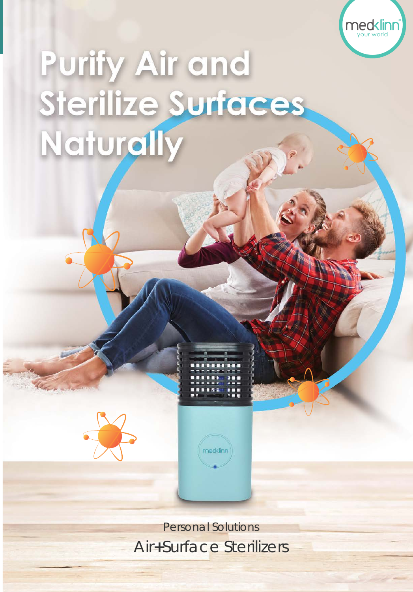

# Purify Air and Sterilize Surfaces Naturally





Personal Solutions Air**+**Surface Sterilizers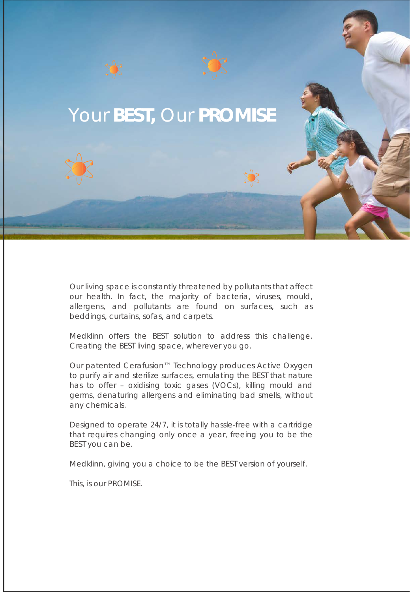

Our living space is constantly threatened by pollutants that affect our health. In fact, the majority of bacteria, viruses, mould, allergens, and pollutants are found on surfaces, such as beddings, curtains, sofas, and carpets.

Medklinn offers the BEST solution to address this challenge. Creating the BEST living space, wherever you go.

Our patented Cerafusion™ Technology produces Active Oxygen to purify air and sterilize surfaces, emulating the BEST that nature has to offer – oxidising toxic gases (VOCs), killing mould and germs, denaturing allergens and eliminating bad smells, without any chemicals.

Designed to operate 24/7, it is totally hassle-free with a cartridge that requires changing only once a year, freeing you to be the BEST you can be.

Medklinn, giving you a choice to be the BEST version of yourself.

This, is our PROMISE.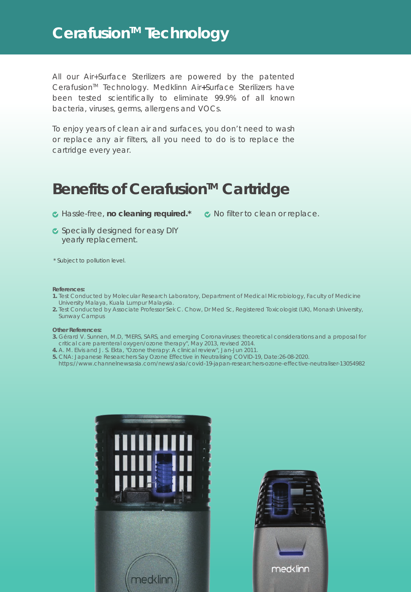## Cerafusion<sup>™</sup> Technology

All our Air+Surface Sterilizers are powered by the patented Cerafusion<sup>™</sup> Technology. Medklinn Air+Surface Sterilizers have been tested scientifically to eliminate 99.9% of all known bacteria, viruses, germs, allergens and VOCs.

To enjoy years of clean air and surfaces, you don't need to wash or replace any air filters, all you need to do is to replace the cartridge every year.

### **Benefits of Cerafusion™ Cartridge**

- Hassle-free, **no cleaning required.\***
- K No filter to clean or replace.
- Specially designed for easy DIY yearly replacement.
- \* Subject to pollution level.

#### **References:**

- **1.** Test Conducted by Molecular Research Laboratory, Department of Medical Microbiology, Faculty of Medicine University Malaya, Kuala Lumpur Malaysia.
- **2.** Test Conducted by Associate Professor Sek C. Chow, Dr Med Sc, Registered Toxicologist (UK), Monash University, Sunway Campus

#### **Other References:**

- **3.** Gérard V. Sunnen, M.D, "*MERS, SARS, and emerging Coronaviruses: theoretical considerations and a proposal for critical care parenteral oxygen/ozone therapy*", May 2013, revised 2014.
- **4.** A. M. Elvis and J. S. Ekta, "*Ozone therapy: A clinical review*", Jan-Jun 2011.
- **5.** CNA: Japanese Researchers Say Ozone Effective in Neutralising COVID-19, Date:26-08-2020.
- https://www.channelnewsasia.com/news/asia/covid-19-japan-researchers-ozone-effective-neutraliser-13054982



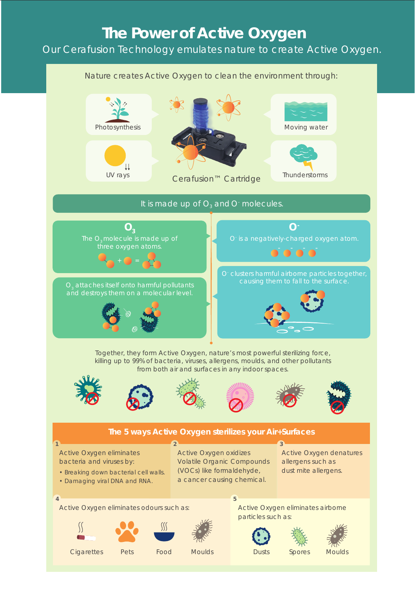# **The Power of Active Oxygen**

#### Our Cerafusion Technology emulates nature to create Active Oxygen.

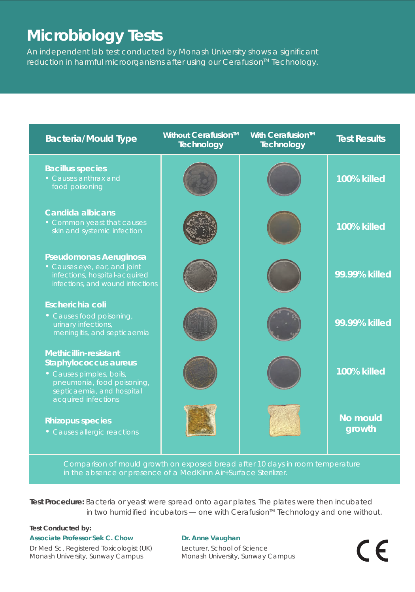# **Microbiology Tests**

An independent lab test conducted by Monash University shows a significant reduction in harmful microorganisms after using our Cerafusion<sup>™</sup> Technology.



Comparison of mould growth on exposed bread after 10 days in room temperature in the absence or presence of a MedKlinn Air+Surface Sterilizer.

**Test Procedure:** Bacteria or yeast were spread onto agar plates. The plates were then incubated in two humidified incubators  $-$  one with Cerafusion<sup> $M$ </sup> Technology and one without.

#### **Test Conducted by:**

**Associate Professor Sek C. Chow** Dr Med Sc, Registered Toxicologist (UK) Monash University, Sunway Campus

#### **Dr. Anne Vaughan**

Lecturer, School of Science Monash University, Sunway Campus  $\epsilon$